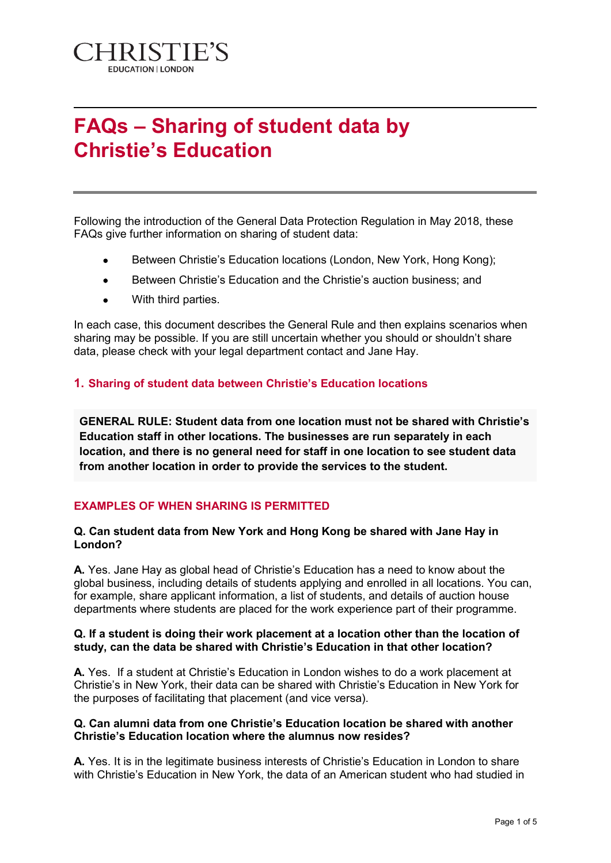

# **FAQs – Sharing of student data by Christie's Education**

Following the introduction of the General Data Protection Regulation in May 2018, these FAQs give further information on sharing of student data:

- Between Christie's Education locations (London, New York, Hong Kong);
- Between Christie's Education and the Christie's auction business; and
- With third parties.

In each case, this document describes the General Rule and then explains scenarios when sharing may be possible. If you are still uncertain whether you should or shouldn't share data, please check with your legal department contact and Jane Hay.

# **1. Sharing of student data between Christie's Education locations**

**GENERAL RULE: Student data from one location must not be shared with Christie's Education staff in other locations. The businesses are run separately in each location, and there is no general need for staff in one location to see student data from another location in order to provide the services to the student.** 

# **EXAMPLES OF WHEN SHARING IS PERMITTED**

## **Q. Can student data from New York and Hong Kong be shared with Jane Hay in London?**

**A.** Yes. Jane Hay as global head of Christie's Education has a need to know about the global business, including details of students applying and enrolled in all locations. You can, for example, share applicant information, a list of students, and details of auction house departments where students are placed for the work experience part of their programme.

#### **Q. If a student is doing their work placement at a location other than the location of study, can the data be shared with Christie's Education in that other location?**

**A.** Yes. If a student at Christie's Education in London wishes to do a work placement at Christie's in New York, their data can be shared with Christie's Education in New York for the purposes of facilitating that placement (and vice versa).

## **Q. Can alumni data from one Christie's Education location be shared with another Christie's Education location where the alumnus now resides?**

**A.** Yes. It is in the legitimate business interests of Christie's Education in London to share with Christie's Education in New York, the data of an American student who had studied in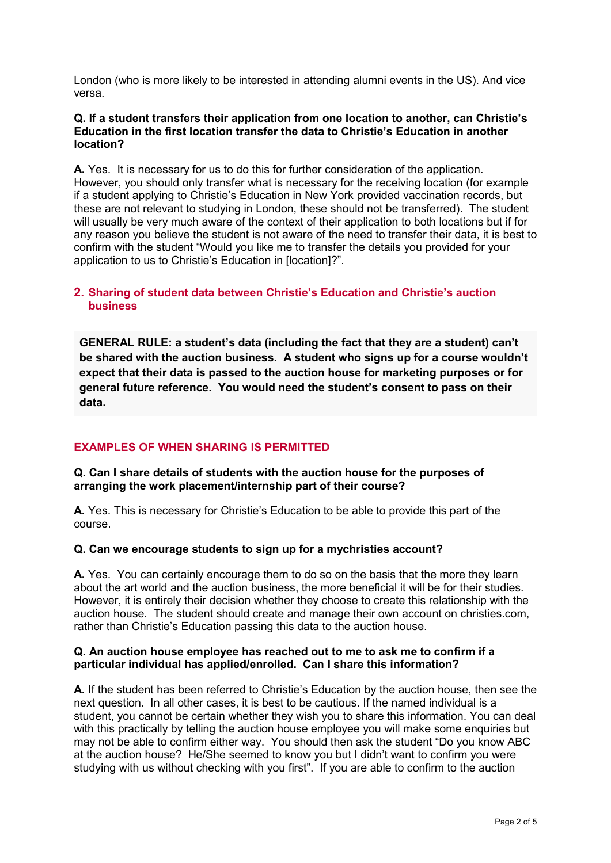London (who is more likely to be interested in attending alumni events in the US). And vice versa.

#### **Q. If a student transfers their application from one location to another, can Christie's Education in the first location transfer the data to Christie's Education in another location?**

**A.** Yes. It is necessary for us to do this for further consideration of the application. However, you should only transfer what is necessary for the receiving location (for example if a student applying to Christie's Education in New York provided vaccination records, but these are not relevant to studying in London, these should not be transferred). The student will usually be very much aware of the context of their application to both locations but if for any reason you believe the student is not aware of the need to transfer their data, it is best to confirm with the student "Would you like me to transfer the details you provided for your application to us to Christie's Education in [location]?".

# **2. Sharing of student data between Christie's Education and Christie's auction business**

**GENERAL RULE: a student's data (including the fact that they are a student) can't be shared with the auction business. A student who signs up for a course wouldn't expect that their data is passed to the auction house for marketing purposes or for general future reference. You would need the student's consent to pass on their data.**

# **EXAMPLES OF WHEN SHARING IS PERMITTED**

# **Q. Can I share details of students with the auction house for the purposes of arranging the work placement/internship part of their course?**

**A.** Yes. This is necessary for Christie's Education to be able to provide this part of the course.

# **Q. Can we encourage students to sign up for a mychristies account?**

**A.** Yes. You can certainly encourage them to do so on the basis that the more they learn about the art world and the auction business, the more beneficial it will be for their studies. However, it is entirely their decision whether they choose to create this relationship with the auction house. The student should create and manage their own account on christies.com, rather than Christie's Education passing this data to the auction house.

#### **Q. An auction house employee has reached out to me to ask me to confirm if a particular individual has applied/enrolled. Can I share this information?**

**A.** If the student has been referred to Christie's Education by the auction house, then see the next question. In all other cases, it is best to be cautious. If the named individual is a student, you cannot be certain whether they wish you to share this information. You can deal with this practically by telling the auction house employee you will make some enquiries but may not be able to confirm either way. You should then ask the student "Do you know ABC at the auction house? He/She seemed to know you but I didn't want to confirm you were studying with us without checking with you first". If you are able to confirm to the auction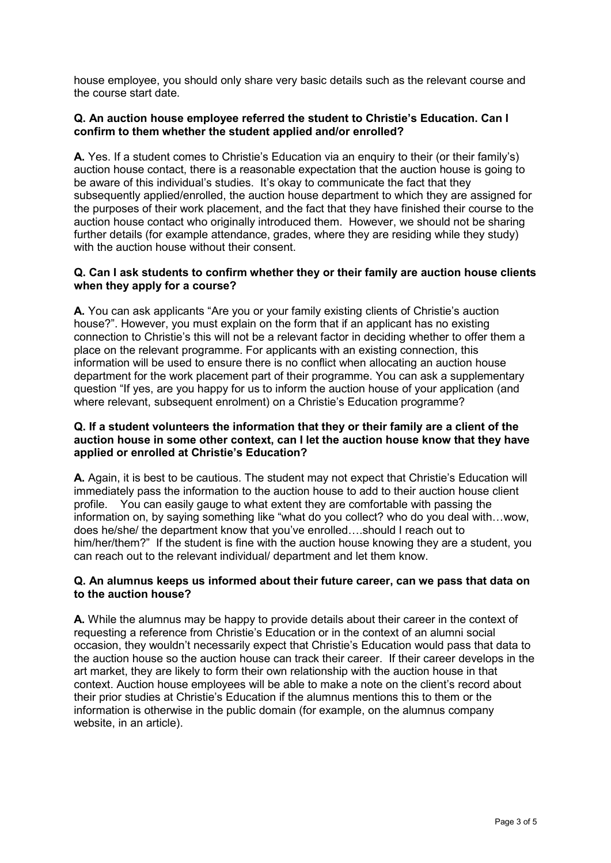house employee, you should only share very basic details such as the relevant course and the course start date.

## **Q. An auction house employee referred the student to Christie's Education. Can I confirm to them whether the student applied and/or enrolled?**

**A.** Yes. If a student comes to Christie's Education via an enquiry to their (or their family's) auction house contact, there is a reasonable expectation that the auction house is going to be aware of this individual's studies. It's okay to communicate the fact that they subsequently applied/enrolled, the auction house department to which they are assigned for the purposes of their work placement, and the fact that they have finished their course to the auction house contact who originally introduced them. However, we should not be sharing further details (for example attendance, grades, where they are residing while they study) with the auction house without their consent.

## **Q. Can I ask students to confirm whether they or their family are auction house clients when they apply for a course?**

**A.** You can ask applicants "Are you or your family existing clients of Christie's auction house?". However, you must explain on the form that if an applicant has no existing connection to Christie's this will not be a relevant factor in deciding whether to offer them a place on the relevant programme. For applicants with an existing connection, this information will be used to ensure there is no conflict when allocating an auction house department for the work placement part of their programme. You can ask a supplementary question "If yes, are you happy for us to inform the auction house of your application (and where relevant, subsequent enrolment) on a Christie's Education programme?

#### **Q. If a student volunteers the information that they or their family are a client of the auction house in some other context, can I let the auction house know that they have applied or enrolled at Christie's Education?**

**A.** Again, it is best to be cautious. The student may not expect that Christie's Education will immediately pass the information to the auction house to add to their auction house client profile. You can easily gauge to what extent they are comfortable with passing the information on, by saying something like "what do you collect? who do you deal with…wow, does he/she/ the department know that you've enrolled….should I reach out to him/her/them?" If the student is fine with the auction house knowing they are a student, you can reach out to the relevant individual/ department and let them know.

## **Q. An alumnus keeps us informed about their future career, can we pass that data on to the auction house?**

**A.** While the alumnus may be happy to provide details about their career in the context of requesting a reference from Christie's Education or in the context of an alumni social occasion, they wouldn't necessarily expect that Christie's Education would pass that data to the auction house so the auction house can track their career. If their career develops in the art market, they are likely to form their own relationship with the auction house in that context. Auction house employees will be able to make a note on the client's record about their prior studies at Christie's Education if the alumnus mentions this to them or the information is otherwise in the public domain (for example, on the alumnus company website, in an article).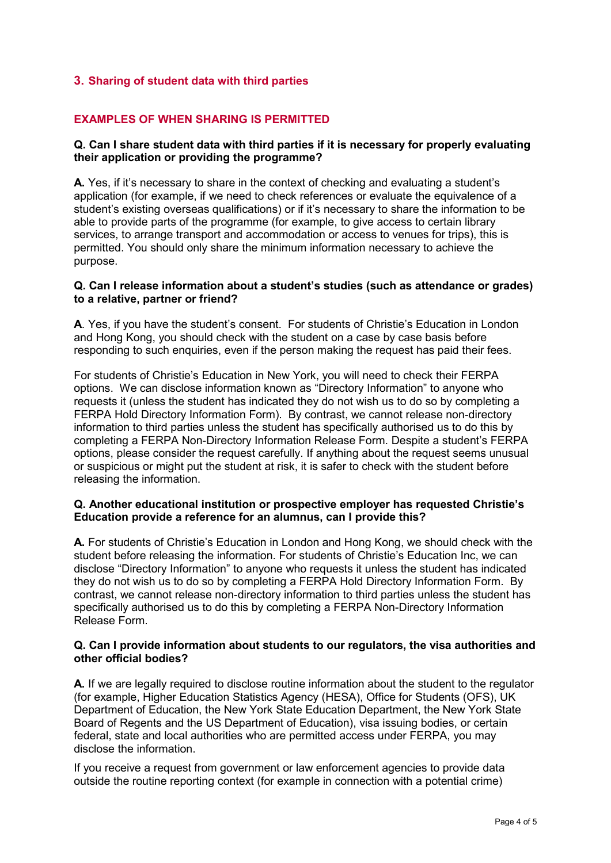# **3. Sharing of student data with third parties**

# **EXAMPLES OF WHEN SHARING IS PERMITTED**

## **Q. Can I share student data with third parties if it is necessary for properly evaluating their application or providing the programme?**

**A.** Yes, if it's necessary to share in the context of checking and evaluating a student's application (for example, if we need to check references or evaluate the equivalence of a student's existing overseas qualifications) or if it's necessary to share the information to be able to provide parts of the programme (for example, to give access to certain library services, to arrange transport and accommodation or access to venues for trips), this is permitted. You should only share the minimum information necessary to achieve the purpose.

#### **Q. Can I release information about a student's studies (such as attendance or grades) to a relative, partner or friend?**

**A**. Yes, if you have the student's consent. For students of Christie's Education in London and Hong Kong, you should check with the student on a case by case basis before responding to such enquiries, even if the person making the request has paid their fees.

For students of Christie's Education in New York, you will need to check their FERPA options. We can disclose information known as "Directory Information" to anyone who requests it (unless the student has indicated they do not wish us to do so by completing a FERPA Hold Directory Information Form). By contrast, we cannot release non-directory information to third parties unless the student has specifically authorised us to do this by completing a FERPA Non-Directory Information Release Form. Despite a student's FERPA options, please consider the request carefully. If anything about the request seems unusual or suspicious or might put the student at risk, it is safer to check with the student before releasing the information.

## **Q. Another educational institution or prospective employer has requested Christie's Education provide a reference for an alumnus, can I provide this?**

**A.** For students of Christie's Education in London and Hong Kong, we should check with the student before releasing the information. For students of Christie's Education Inc, we can disclose "Directory Information" to anyone who requests it unless the student has indicated they do not wish us to do so by completing a FERPA Hold Directory Information Form. By contrast, we cannot release non-directory information to third parties unless the student has specifically authorised us to do this by completing a FERPA Non-Directory Information Release Form.

#### **Q. Can I provide information about students to our regulators, the visa authorities and other official bodies?**

**A.** If we are legally required to disclose routine information about the student to the regulator (for example, Higher Education Statistics Agency (HESA), Office for Students (OFS), UK Department of Education, the New York State Education Department, the New York State Board of Regents and the US Department of Education), visa issuing bodies, or certain federal, state and local authorities who are permitted access under FERPA, you may disclose the information.

If you receive a request from government or law enforcement agencies to provide data outside the routine reporting context (for example in connection with a potential crime)